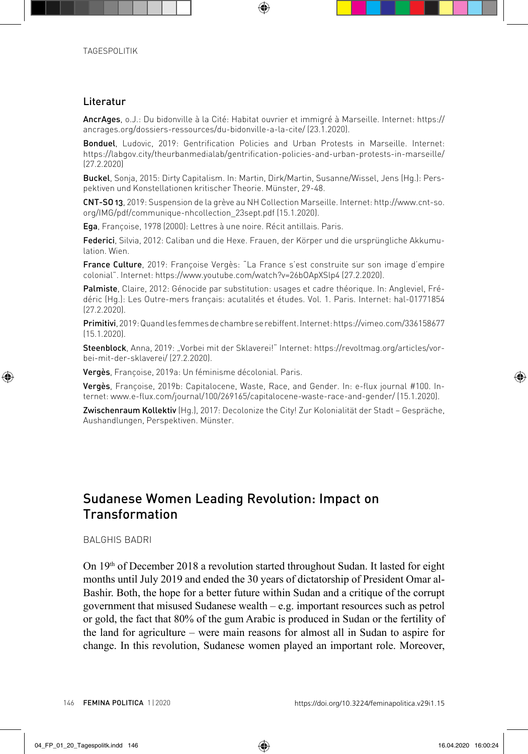## Literatur

AncrAges, o.J.: Du bidonville à la Cité: Habitat ouvrier et immigré à Marseille. Internet: https:// ancrages.org/dossiers-ressources/du-bidonville-a-la-cite/ (23.1.2020).

Bonduel, Ludovic, 2019: Gentrification Policies and Urban Protests in Marseille. Internet: https://labgov.city/theurbanmedialab/gentrification-policies-and-urban-protests-in-marseille/ (27.2.2020)

Buckel, Sonja, 2015: Dirty Capitalism. In: Martin, Dirk/Martin, Susanne/Wissel, Jens (Hg.): Perspektiven und Konstellationen kritischer Theorie. Münster, 29-48.

CNT-SO 13, 2019: Suspension de la grève au NH Collection Marseille. Internet: http://www.cnt-so. org/IMG/pdf/communique-nhcollection\_23sept.pdf (15.1.2020).

Ega, Françoise, 1978 (2000): Lettres à une noire. Récit antillais. Paris.

Federici, Silvia, 2012: Caliban und die Hexe. Frauen, der Körper und die ursprüngliche Akkumulation. Wien.

France Culture, 2019: Françoise Vergès: "La France s'est construite sur son image d'empire colonial". Internet: https://www.youtube.com/watch?v=26bOApXSlp4 (27.2.2020).

Palmiste, Claire, 2012: Génocide par substitution: usages et cadre théorique. In: Angleviel, Frédéric (Hg.): Les Outre-mers français: acutalités et études. Vol. 1. Paris. Internet: hal-01771854 (27.2.2020).

Primitivi, 2019: Quand les femmes de chambre se rebiffent. Internet: https://vimeo.com/336158677 (15.1.2020).

Steenblock, Anna, 2019: "Vorbei mit der Sklaverei!" Internet: https://revoltmag.org/articles/vorbei-mit-der-sklaverei/ (27.2.2020).

Vergès, Françoise, 2019a: Un féminisme décolonial. Paris.

Vergès, Françoise, 2019b: Capitalocene, Waste, Race, and Gender. In: e-flux journal #100. Internet: www.e-flux.com/journal/100/269165/capitalocene-waste-race-and-gender/ (15.1.2020).

Zwischenraum Kollektiv (Hg.), 2017: Decolonize the City! Zur Kolonialität der Stadt – Gespräche, Aushandlungen, Perspektiven. Münster.

## Sudanese Women Leading Revolution: Impact on Transformation

## BALGHIS BADRI

On  $19<sup>th</sup>$  of December 2018 a revolution started throughout Sudan. It lasted for eight months until July 2019 and ended the 30 years of dictatorship of President Omar al-Bashir. Both, the hope for a better future within Sudan and a critique of the corrupt government that misused Sudanese wealth – e.g. important resources such as petrol or gold, the fact that 80% of the gum Arabic is produced in Sudan or the fertility of the land for agriculture – were main reasons for almost all in Sudan to aspire for change. In this revolution, Sudanese women played an important role. Moreover,